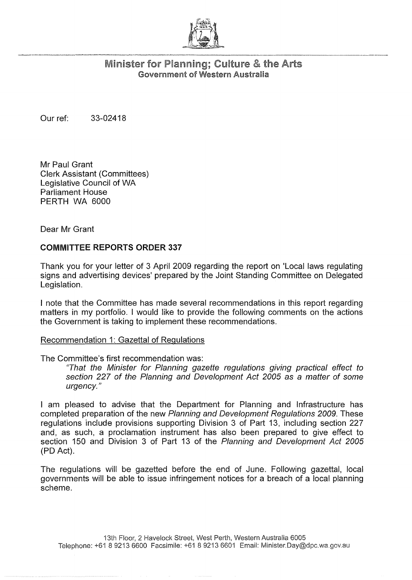

## Minister for Planning; Culture & the Arts Government of Western Australia

Our ref: 33-02418

Mr Paul Grant Clerk Assistant (Committees) Legislative Council of WA Parliament House PERTH WA 6000

Dear Mr Grant

## COMMITTEE REPORTS ORDER 337

Thank you for your letter of 3 April 2009 regarding the report on 'Local laws regulating signs and advertising devices' prepared by the Joint Standing Committee on Delegated Legislation.

I note that the Committee has made several recommendations in this report regarding matters in my portfolio. I would like to provide the following comments on the actions the Government is taking to implement these recommendations.

## Recommendation 1: Gazettal of Regulations

The Committee's first recommendation was:

"That the Minister for Planning gazette regulations giving practical effect to section 227 of the Planning and Development Act 2005 as a matter of some urgency."

I am pleased to advise that the Department for Planning and Infrastructure has completed preparation of the new Planning and Development Regulations 2009. These regulations include provisions supporting Division 3 of Part 13, including section 227 and, as such, a proclamation instrument has also been prepared to give effect to section 150 and Division 3 of Part 13 of the Planning and Development Act 2005 (PD Act).

The regulations will be gazetted before the end of June. Following gazettal, local governments will be able to issue infringement notices for a breach of a local planning scheme.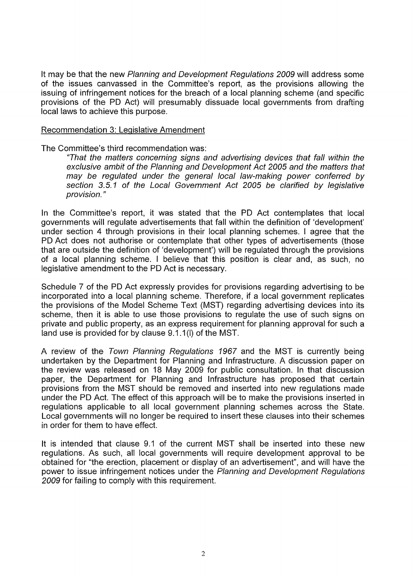It may be that the new Planning and Development Regulations 2009 will address some of the issues canvassed in the Committee's report, as the provisions allowing the issuing of infringement notices for the breach of a local planning scheme (and specific provisions of the PD Act) will presumably dissuade local governments from drafting local laws to achieve this purpose.

## Recommendation 3: Legislative Amendment

The Committee's third recommendation was:

"That the matters concerning signs and advertising devices that fall within the exclusive ambit of the Planning and Development Act 2005 and the matters that may be regulated under the general local law-making power conferred by section 3.5.1 of the Local Government Act 2005 be clarified by legislative provision. "

In the Committee's report, it was stated that the PD Act contemplates that local governments will regulate advertisements that fall within the definition of 'development' under section 4 through provisions in their local planning schemes. I agree that the PD Act does not authorise or contemplate that other types of advertisements (those that are outside the definition of 'development') will be regulated through the provisions of a local planning scheme. I believe that this position is clear and, as such, no legislative amendment to the PD Act is necessary.

Schedule 7 of the PD Act expressly provides for provisions regarding advertising to be incorporated into a local planning scheme. Therefore, if a local government replicates the provisions of the Model Scheme Text (MST) regarding advertising devices into its scheme, then it is able to use those provisions to regulate the use of such signs on private and public property, as an express requirement for planning approval for such a land use is provided for by clause 9.1.1 (I) of the MST.

A review of the Town Planning Regulations 1967 and the MST is currently being undertaken by the Department for Planning and Infrastructure. A discussion paper on the review was released on 18 May 2009 for public consultation. In that discussion paper, the Department for Planning and Infrastructure has proposed that certain provisions from the MST should be removed and inserted into new regulations made under the PD Act. The effect of this approach will be to make the provisions inserted in regulations applicable to all local government planning schemes across the State. Local governments will no longer be required to insert these clauses into their schemes in order for them to have effect.

It is intended that clause 9.1 of the current MST shall be inserted into these new regulations. As such, all local governments will require development approval to be obtained for "the erection, placement or display of an advertisement", and will have the power to issue infringement notices under the Planning and Development Regulations 2009 for failing to comply with this requirement.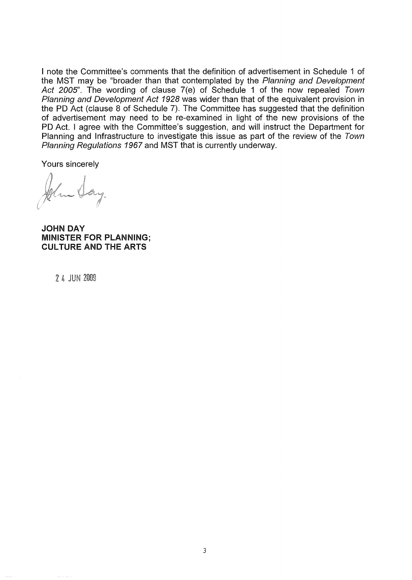I note the Committee's comments that the definition of advertisement in Schedule 1 of the MST may be "broader than that contemplated by the Planning and Development Act 2005", The wording of clause 7(e) of Schedule 1 of the now repealed Town Planning and Development Act 1928 was wider than that of the equivalent provision in the PO Act (clause 8 of Schedule 7), The Committee has suggested that the definition of advertisement may need to be re-examined in light of the new provisions of the PO Act. I agree with the Committee's suggestion, and will instruct the Department for Planning and Infrastructure to investigate this issue as part of the review of the Town Planning Regulations 1967 and MST that is currently underway.

Yours sincerely

JOHN DAY MINISTER FOR PLANNING; CULTURE AND THE ARTS

2 4 JUN 2009